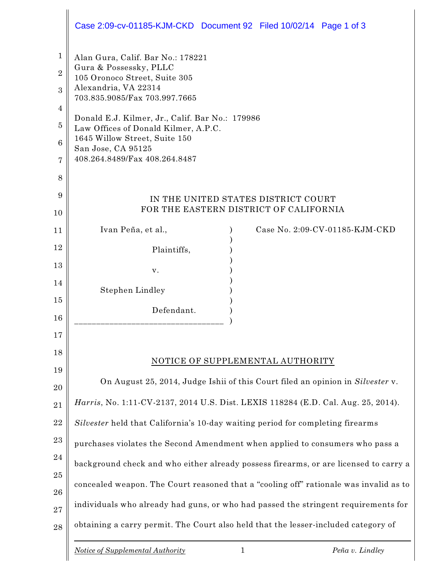|                               | Case 2:09-cv-01185-KJM-CKD Document 92 Filed 10/02/14 Page 1 of 3                                                                                     |  |  |  |
|-------------------------------|-------------------------------------------------------------------------------------------------------------------------------------------------------|--|--|--|
| $\mathbf 1$<br>$\overline{2}$ | Alan Gura, Calif. Bar No.: 178221<br>Gura & Possessky, PLLC<br>105 Oronoco Street, Suite 305<br>Alexandria, VA 22314<br>703.835.9085/Fax 703.997.7665 |  |  |  |
| 3                             |                                                                                                                                                       |  |  |  |
| 4                             |                                                                                                                                                       |  |  |  |
| $\overline{5}$                | Donald E.J. Kilmer, Jr., Calif. Bar No.: 179986<br>Law Offices of Donald Kilmer, A.P.C.<br>1645 Willow Street, Suite 150                              |  |  |  |
| $6\phantom{1}6$               |                                                                                                                                                       |  |  |  |
| 7                             | San Jose, CA 95125<br>408.264.8489/Fax 408.264.8487                                                                                                   |  |  |  |
| 8                             |                                                                                                                                                       |  |  |  |
| 9                             | IN THE UNITED STATES DISTRICT COURT                                                                                                                   |  |  |  |
| 10                            | FOR THE EASTERN DISTRICT OF CALIFORNIA                                                                                                                |  |  |  |
| 11                            | Ivan Peña, et al.,<br>Case No. 2:09-CV-01185-KJM-CKD                                                                                                  |  |  |  |
| 12                            | Plaintiffs,                                                                                                                                           |  |  |  |
| 13                            | v.                                                                                                                                                    |  |  |  |
| 14                            | Stephen Lindley                                                                                                                                       |  |  |  |
| 15                            | Defendant.                                                                                                                                            |  |  |  |
| 16                            |                                                                                                                                                       |  |  |  |
| 17                            |                                                                                                                                                       |  |  |  |
| 18                            | NOTICE OF SUPPLEMENTAL AUTHORITY                                                                                                                      |  |  |  |
| 19                            | On August 25, 2014, Judge Ishii of this Court filed an opinion in Silvester v.                                                                        |  |  |  |
| 20<br>21                      | Harris, No. 1:11-CV-2137, 2014 U.S. Dist. LEXIS 118284 (E.D. Cal. Aug. 25, 2014).                                                                     |  |  |  |
| 22                            |                                                                                                                                                       |  |  |  |
| 23                            | Silvester held that California's 10-day waiting period for completing firearms                                                                        |  |  |  |
| 24                            | purchases violates the Second Amendment when applied to consumers who pass a                                                                          |  |  |  |
| 25                            | background check and who either already possess firearms, or are licensed to carry a                                                                  |  |  |  |
| 26                            | concealed weapon. The Court reasoned that a "cooling off" rationale was invalid as to                                                                 |  |  |  |
| 27                            | individuals who already had guns, or who had passed the stringent requirements for                                                                    |  |  |  |
| 28                            | obtaining a carry permit. The Court also held that the lesser-included category of                                                                    |  |  |  |
|                               | <b>Notice of Supplemental Authority</b><br>$\mathbf{1}$<br>Peña v. Lindley                                                                            |  |  |  |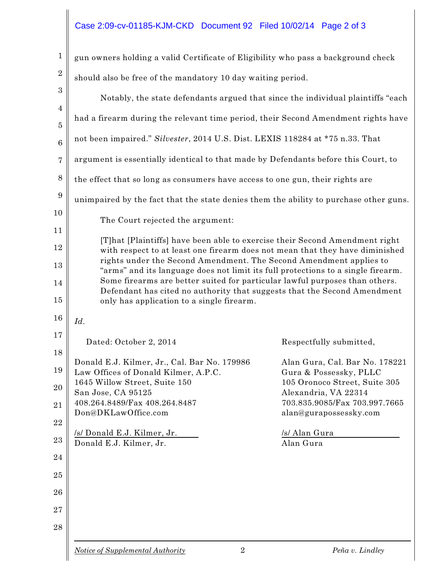## Case 2:09-cv-01185-KJM-CKD Document 92 Filed 10/02/14 Page 2 of 3

| $\mathbf{1}$    | gun owners holding a valid Certificate of Eligibility who pass a background check                                                                               |                                                          |  |  |
|-----------------|-----------------------------------------------------------------------------------------------------------------------------------------------------------------|----------------------------------------------------------|--|--|
| $\overline{2}$  | should also be free of the mandatory 10 day waiting period.                                                                                                     |                                                          |  |  |
| 3               | Notably, the state defendants argued that since the individual plaintiffs "each"                                                                                |                                                          |  |  |
| 4               | had a firearm during the relevant time period, their Second Amendment rights have                                                                               |                                                          |  |  |
| 5               | not been impaired." Silvester, 2014 U.S. Dist. LEXIS 118284 at *75 n.33. That                                                                                   |                                                          |  |  |
| $6\phantom{1}6$ |                                                                                                                                                                 |                                                          |  |  |
| 7               | argument is essentially identical to that made by Defendants before this Court, to                                                                              |                                                          |  |  |
| 8               | the effect that so long as consumers have access to one gun, their rights are                                                                                   |                                                          |  |  |
| 9               | unimpaired by the fact that the state denies them the ability to purchase other guns.                                                                           |                                                          |  |  |
| 10              | The Court rejected the argument:                                                                                                                                |                                                          |  |  |
| 11<br>12        | [T]hat [Plaintiffs] have been able to exercise their Second Amendment right                                                                                     |                                                          |  |  |
| 13              | with respect to at least one firearm does not mean that they have diminished<br>rights under the Second Amendment. The Second Amendment applies to              |                                                          |  |  |
| 14              | "arms" and its language does not limit its full protections to a single firearm.<br>Some firearms are better suited for particular lawful purposes than others. |                                                          |  |  |
| 15              | Defendant has cited no authority that suggests that the Second Amendment<br>only has application to a single firearm.                                           |                                                          |  |  |
| 16              | Id.                                                                                                                                                             |                                                          |  |  |
| 17              | Dated: October 2, 2014                                                                                                                                          | Respectfully submitted,                                  |  |  |
| 18              |                                                                                                                                                                 |                                                          |  |  |
| 19              | Donald E.J. Kilmer, Jr., Cal. Bar No. 179986<br>Law Offices of Donald Kilmer, A.P.C.                                                                            | Alan Gura, Cal. Bar No. 178221<br>Gura & Possessky, PLLC |  |  |
| 20              | 1645 Willow Street, Suite 150<br>San Jose, CA 95125                                                                                                             | 105 Oronoco Street, Suite 305<br>Alexandria, VA 22314    |  |  |
| 21              | 408.264.8489/Fax 408.264.8487                                                                                                                                   | 703.835.9085/Fax 703.997.7665                            |  |  |
| 22              | Don@DKLawOffice.com                                                                                                                                             | alan@gurapossessky.com                                   |  |  |
| 23              | /s/ Donald E.J. Kilmer, Jr.<br>Donald E.J. Kilmer, Jr.                                                                                                          | /s/ Alan Gura<br>Alan Gura                               |  |  |
| 24              |                                                                                                                                                                 |                                                          |  |  |
| 25              |                                                                                                                                                                 |                                                          |  |  |
| 26              |                                                                                                                                                                 |                                                          |  |  |
| 27              |                                                                                                                                                                 |                                                          |  |  |
| 28              |                                                                                                                                                                 |                                                          |  |  |
|                 | $\overline{2}$<br><b>Notice of Supplemental Authority</b>                                                                                                       | Peña v. Lindley                                          |  |  |